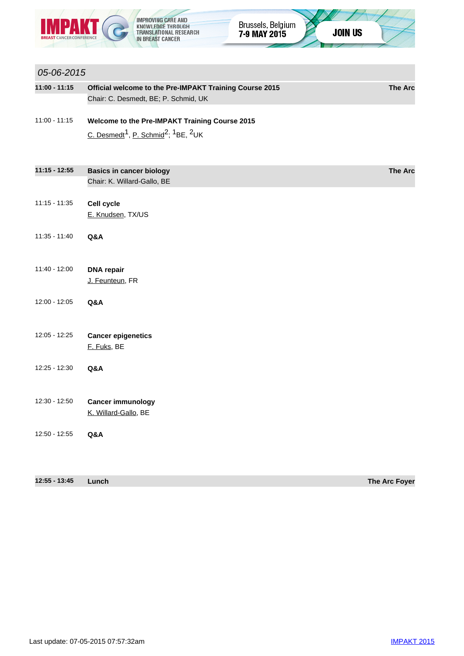

05-06-2015

**JOIN US** 

## **11:00 - 11:15 Official welcome to the Pre-IMPAKT Training Course 2015 The Arc** Chair: C. Desmedt, BE; P. Schmid, UK 11:00 - 11:15 **Welcome to the Pre-IMPAKT Training Course 2015** C. Desmedt<sup>1</sup>, P. Schmid<sup>2</sup>; <sup>1</sup>BE, <sup>2</sup>UK **11:15 - 12:55 Basics in cancer biology The Arc** Chair: K. Willard-Gallo, BE 11:15 - 11:35 **Cell cycle** E. Knudsen, TX/US 11:35 - 11:40 **Q&A** 11:40 - 12:00 **DNA repair** J. Feunteun, FR 12:00 - 12:05 **Q&A** 12:05 - 12:25 **Cancer epigenetics** F. Fuks, BE 12:25 - 12:30 **Q&A** 12:30 - 12:50 **Cancer immunology** K. Willard-Gallo, BE

12:50 - 12:55 **Q&A**

| 12:55 - 13:45 | Lunch | The Arc Foyer |
|---------------|-------|---------------|
|---------------|-------|---------------|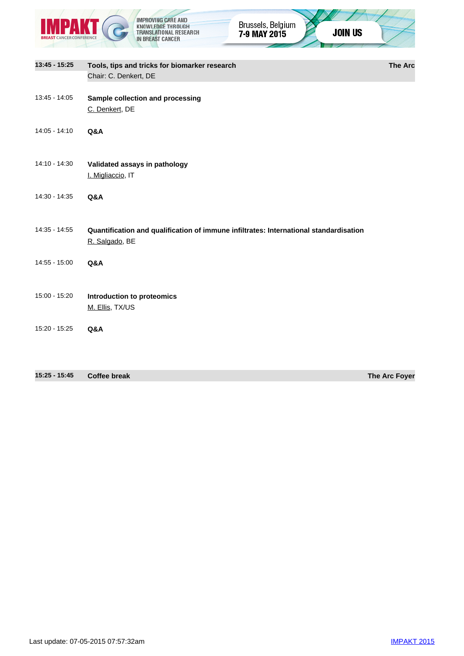|                 | <b>IMPROVING CARE AND</b><br>Brussels, Belgium<br>KNOWLEDGE THROUGH<br><b>JOIN US</b><br>TRANSLATIONAL RESEARCH<br>7-9 MAY 2015<br>IN BREAST CANCER |                |
|-----------------|-----------------------------------------------------------------------------------------------------------------------------------------------------|----------------|
|                 |                                                                                                                                                     |                |
| $13:45 - 15:25$ | Tools, tips and tricks for biomarker research<br>Chair: C. Denkert, DE                                                                              | <b>The Arc</b> |
| 13:45 - 14:05   | Sample collection and processing<br>C. Denkert, DE                                                                                                  |                |
| 14:05 - 14:10   | Q&A                                                                                                                                                 |                |
| 14:10 - 14:30   | Validated assays in pathology<br>I. Migliaccio, IT                                                                                                  |                |
| 14:30 - 14:35   | Q&A                                                                                                                                                 |                |
| 14:35 - 14:55   | Quantification and qualification of immune infiltrates: International standardisation<br>R. Salgado, BE                                             |                |
| 14:55 - 15:00   | Q&A                                                                                                                                                 |                |
| 15:00 - 15:20   | Introduction to proteomics<br>M. Ellis, TX/US                                                                                                       |                |
| 15:20 - 15:25   | Q&A                                                                                                                                                 |                |
|                 |                                                                                                                                                     |                |

**15:25 - 15:45 Coffee break The Arc Foyer**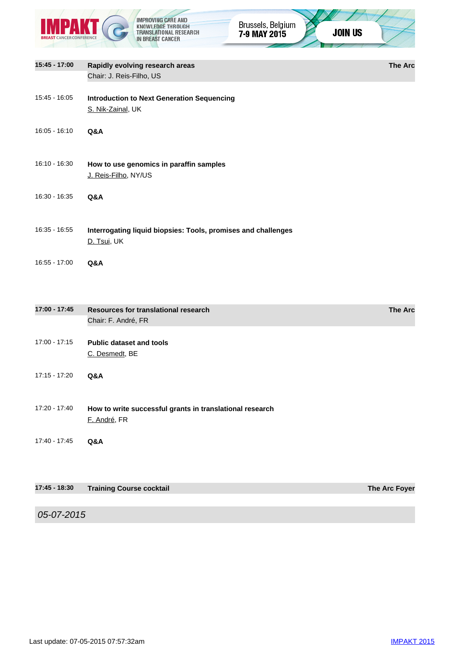



**15:45 - 17:00 Rapidly evolving research areas The Arc** Chair: J. Reis-Filho, US 15:45 - 16:05 **Introduction to Next Generation Sequencing** S. Nik-Zainal, UK 16:05 - 16:10 **Q&A** 16:10 - 16:30 **How to use genomics in paraffin samples** J. Reis-Filho, NY/US 16:30 - 16:35 **Q&A** 16:35 - 16:55 **Interrogating liquid biopsies: Tools, promises and challenges** D. Tsui, UK 16:55 - 17:00 **Q&A**

| 17:00 - 17:45 | Resources for translational research<br>Chair: F. André, FR              | <b>The Arc</b> |
|---------------|--------------------------------------------------------------------------|----------------|
| 17:00 - 17:15 | <b>Public dataset and tools</b><br>C. Desmedt, BE                        |                |
| 17:15 - 17:20 | Q&A                                                                      |                |
| 17:20 - 17:40 | How to write successful grants in translational research<br>E. André, FR |                |
| 17:40 - 17:45 | Q&A                                                                      |                |
|               |                                                                          |                |
| 17:45 - 18:30 | <b>Training Course cocktail</b>                                          | The Arc Foyer  |
|               |                                                                          |                |
| 05-07-2015    |                                                                          |                |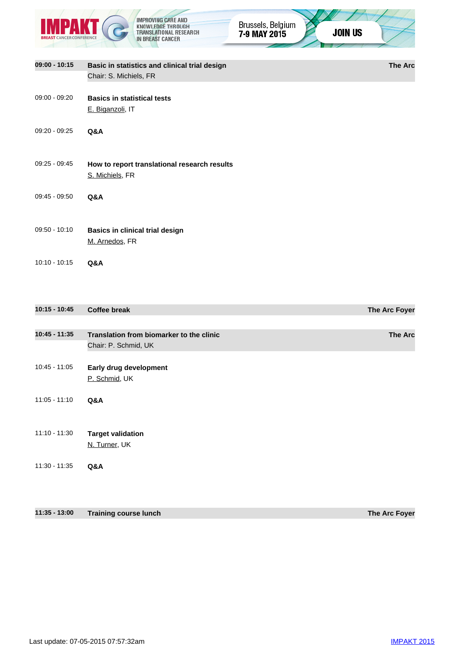



**09:00 - 10:15 Basic in statistics and clinical trial design The Arc** Chair: S. Michiels, FR 09:00 - 09:20 **Basics in statistical tests** E. Biganzoli, IT 09:20 - 09:25 **Q&A** 09:25 - 09:45 **How to report translational research results** S. Michiels, FR 09:45 - 09:50 **Q&A** 09:50 - 10:10 **Basics in clinical trial design** M. Arnedos, FR 10:10 - 10:15 **Q&A**

| $10:15 - 10:45$ | <b>Coffee break</b>                      | The Arc Foyer  |
|-----------------|------------------------------------------|----------------|
|                 |                                          |                |
| $10:45 - 11:35$ | Translation from biomarker to the clinic | <b>The Arc</b> |
|                 | Chair: P. Schmid, UK                     |                |
|                 |                                          |                |
| $10:45 - 11:05$ | Early drug development                   |                |
|                 | P. Schmid, UK                            |                |
|                 |                                          |                |
| $11:05 - 11:10$ | Q&A                                      |                |
|                 |                                          |                |
| $11:10 - 11:30$ | <b>Target validation</b>                 |                |
|                 | N. Turner, UK                            |                |
|                 |                                          |                |
| $11:30 - 11:35$ | Q&A                                      |                |
|                 |                                          |                |
|                 |                                          |                |
|                 |                                          |                |

**11:35 - 13:00 Training course lunch The Arc Foyer**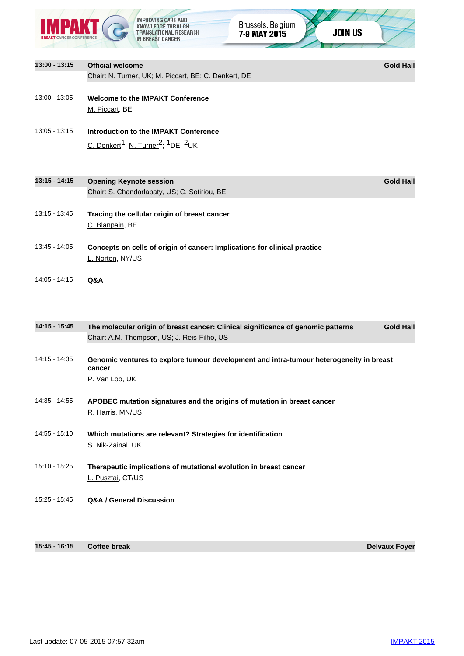|                 |                                     | EDGE THROUGH.<br>ATIONAL RESEARCH<br>IN BREAST CANCER                               | Brussels, Belgium<br>7-9 MAY 2015                                                       | <b>JOIN US</b> |                  |
|-----------------|-------------------------------------|-------------------------------------------------------------------------------------|-----------------------------------------------------------------------------------------|----------------|------------------|
| 13:00 - 13:15   | <b>Official welcome</b>             |                                                                                     |                                                                                         |                | <b>Gold Hall</b> |
|                 |                                     | Chair: N. Turner, UK; M. Piccart, BE; C. Denkert, DE                                |                                                                                         |                |                  |
| 13:00 - 13:05   | M. Piccart, BE                      | <b>Welcome to the IMPAKT Conference</b>                                             |                                                                                         |                |                  |
| $13:05 - 13:15$ |                                     | Introduction to the IMPAKT Conference                                               |                                                                                         |                |                  |
|                 |                                     | C. Denkert <sup>1</sup> , N. Turner <sup>2</sup> ; <sup>1</sup> DE, <sup>2</sup> UK |                                                                                         |                |                  |
| $13:15 - 14:15$ | <b>Opening Keynote session</b>      |                                                                                     |                                                                                         |                | <b>Gold Hall</b> |
|                 |                                     | Chair: S. Chandarlapaty, US; C. Sotiriou, BE                                        |                                                                                         |                |                  |
| 13:15 - 13:45   | C. Blanpain, BE                     | Tracing the cellular origin of breast cancer                                        |                                                                                         |                |                  |
| 13:45 - 14:05   | L. Norton, NY/US                    |                                                                                     | Concepts on cells of origin of cancer: Implications for clinical practice               |                |                  |
| $14:05 - 14:15$ | Q&A                                 |                                                                                     |                                                                                         |                |                  |
| 14:15 - 15:45   |                                     | Chair: A.M. Thompson, US; J. Reis-Filho, US                                         | The molecular origin of breast cancer: Clinical significance of genomic patterns        |                | <b>Gold Hall</b> |
| 14:15 - 14:35   | cancer<br>P. Van Loo, UK            |                                                                                     | Genomic ventures to explore tumour development and intra-tumour heterogeneity in breast |                |                  |
| 14:35 - 14:55   | R. Harris, MN/US                    |                                                                                     | APOBEC mutation signatures and the origins of mutation in breast cancer                 |                |                  |
| 14:55 - 15:10   | S. Nik-Zainal, UK                   | Which mutations are relevant? Strategies for identification                         |                                                                                         |                |                  |
| 15:10 - 15:25   | L. Pusztai, CT/US                   |                                                                                     | Therapeutic implications of mutational evolution in breast cancer                       |                |                  |
| 15:25 - 15:45   | <b>Q&amp;A / General Discussion</b> |                                                                                     |                                                                                         |                |                  |

**15:45 - 16:15 Coffee break Delvaux Foyer**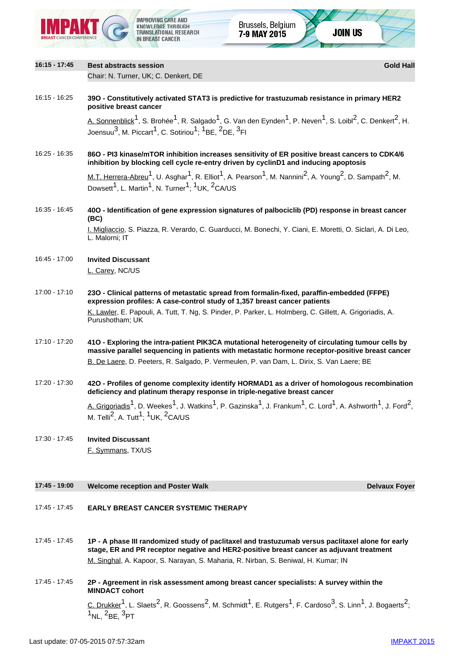

| 16:15 - 17:45 | <b>Best abstracts session</b>                                                                                                                                                                                                                                                                                                   | <b>Gold Hall</b>     |
|---------------|---------------------------------------------------------------------------------------------------------------------------------------------------------------------------------------------------------------------------------------------------------------------------------------------------------------------------------|----------------------|
|               | Chair: N. Turner, UK; C. Denkert, DE                                                                                                                                                                                                                                                                                            |                      |
| 16:15 - 16:25 | 390 - Constitutively activated STAT3 is predictive for trastuzumab resistance in primary HER2<br>positive breast cancer                                                                                                                                                                                                         |                      |
|               | A. Sonnenblick <sup>1</sup> , S. Brohée <sup>1</sup> , R. Salgado <sup>1</sup> , G. Van den Eynden <sup>1</sup> , P. Neven <sup>1</sup> , S. Loibl <sup>2</sup> , C. Denkert <sup>2</sup> , H.<br>Joensuu <sup>3</sup> , M. Piccart <sup>1</sup> , C. Sotiriou <sup>1</sup> ; <sup>1</sup> BE, <sup>2</sup> DE, <sup>3</sup> FI |                      |
| 16:25 - 16:35 | 86O - PI3 kinase/mTOR inhibition increases sensitivity of ER positive breast cancers to CDK4/6<br>inhibition by blocking cell cycle re-entry driven by cyclinD1 and inducing apoptosis                                                                                                                                          |                      |
|               | M.T. Herrera-Abreu <sup>1</sup> , U. Asghar <sup>1</sup> , R. Elliot <sup>1</sup> , A. Pearson <sup>1</sup> , M. Nannini <sup>2</sup> , A. Young <sup>2</sup> , D. Sampath <sup>2</sup> , M.<br>Dowsett <sup>1</sup> , L. Martin <sup>1</sup> , N. Turner <sup>1</sup> ; <sup>1</sup> UK, <sup>2</sup> CA/US                    |                      |
| 16:35 - 16:45 | 400 - Identification of gene expression signatures of palbociclib (PD) response in breast cancer<br>(BC)                                                                                                                                                                                                                        |                      |
|               | I. Migliaccio, S. Piazza, R. Verardo, C. Guarducci, M. Bonechi, Y. Ciani, E. Moretti, O. Siclari, A. Di Leo,<br>L. Malorni; IT                                                                                                                                                                                                  |                      |
| 16:45 - 17:00 | <b>Invited Discussant</b>                                                                                                                                                                                                                                                                                                       |                      |
|               | L. Carey, NC/US                                                                                                                                                                                                                                                                                                                 |                      |
| 17:00 - 17:10 | 230 - Clinical patterns of metastatic spread from formalin-fixed, paraffin-embedded (FFPE)<br>expression profiles: A case-control study of 1,357 breast cancer patients                                                                                                                                                         |                      |
|               | K. Lawler, E. Papouli, A. Tutt, T. Ng, S. Pinder, P. Parker, L. Holmberg, C. Gillett, A. Grigoriadis, A.<br>Purushotham; UK                                                                                                                                                                                                     |                      |
| 17:10 - 17:20 | 410 - Exploring the intra-patient PIK3CA mutational heterogeneity of circulating tumour cells by<br>massive parallel sequencing in patients with metastatic hormone receptor-positive breast cancer<br>B. De Laere, D. Peeters, R. Salgado, P. Vermeulen, P. van Dam, L. Dirix, S. Van Laere; BE                                |                      |
| 17:20 - 17:30 | 420 - Profiles of genome complexity identify HORMAD1 as a driver of homologous recombination<br>deficiency and platinum therapy response in triple-negative breast cancer                                                                                                                                                       |                      |
|               | A. Grigoriadis <sup>1</sup> , D. Weekes <sup>1</sup> , J. Watkins <sup>1</sup> , P. Gazinska <sup>1</sup> , J. Frankum <sup>1</sup> , C. Lord <sup>1</sup> , A. Ashworth <sup>1</sup> , J. Ford <sup>2</sup> ,<br>M. Telli <sup>2</sup> , A. Tutt <sup>1</sup> ; <sup>1</sup> UK, <sup>2</sup> CA/US                            |                      |
| 17:30 - 17:45 | <b>Invited Discussant</b>                                                                                                                                                                                                                                                                                                       |                      |
|               | F. Symmans, TX/US                                                                                                                                                                                                                                                                                                               |                      |
| 17:45 - 19:00 | <b>Welcome reception and Poster Walk</b>                                                                                                                                                                                                                                                                                        | <b>Delvaux Foyer</b> |
|               |                                                                                                                                                                                                                                                                                                                                 |                      |
|               |                                                                                                                                                                                                                                                                                                                                 |                      |

- 17:45 17:45 **EARLY BREAST CANCER SYSTEMIC THERAPY**
- 17:45 17:45 **1P A phase III randomized study of paclitaxel and trastuzumab versus paclitaxel alone for early stage, ER and PR receptor negative and HER2-positive breast cancer as adjuvant treatment** M. Singhal, A. Kapoor, S. Narayan, S. Maharia, R. Nirban, S. Beniwal, H. Kumar; IN
- 17:45 17:45 **2P Agreement in risk assessment among breast cancer specialists: A survey within the MINDACT cohort**

 $C.$  Drukker<sup>1</sup>, L. Slaets<sup>2</sup>, R. Goossens<sup>2</sup>, M. Schmidt<sup>1</sup>, E. Rutgers<sup>1</sup>, F. Cardoso<sup>3</sup>, S. Linn<sup>1</sup>, J. Bogaerts<sup>2</sup>;  $\overline{1_{\text{NL}}}, \overline{2_{\text{BE}}}, \overline{3_{\text{PT}}}$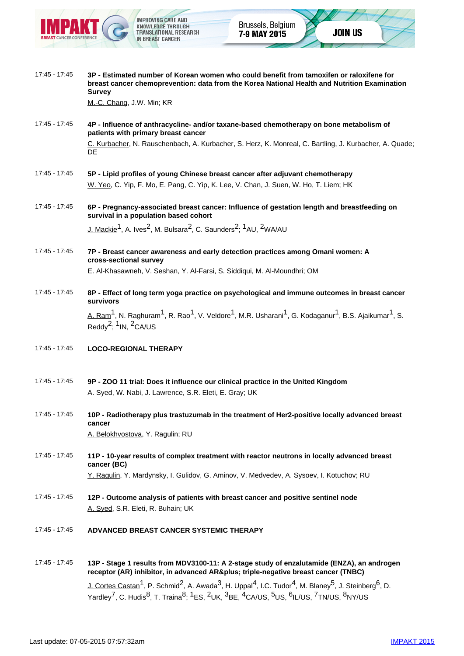

- 17:45 17:45 **3P Estimated number of Korean women who could benefit from tamoxifen or raloxifene for breast cancer chemoprevention: data from the Korea National Health and Nutrition Examination Survey** M.-C. Chang, J.W. Min; KR 17:45 - 17:45 **4P - Influence of anthracycline- and/or taxane-based chemotherapy on bone metabolism of patients with primary breast cancer** C. Kurbacher, N. Rauschenbach, A. Kurbacher, S. Herz, K. Monreal, C. Bartling, J. Kurbacher, A. Quade; **DE** 17:45 - 17:45 **5P - Lipid profiles of young Chinese breast cancer after adjuvant chemotherapy** W. Yeo, C. Yip, F. Mo, E. Pang, C. Yip, K. Lee, V. Chan, J. Suen, W. Ho, T. Liem; HK 17:45 - 17:45 **6P - Pregnancy-associated breast cancer: Influence of gestation length and breastfeeding on survival in a population based cohort** J. Mackie<sup>1</sup>, A. Ives<sup>2</sup>, M. Bulsara<sup>2</sup>, C. Saunders<sup>2</sup>: <sup>1</sup>AU, <sup>2</sup>WA/AU
- 17:45 17:45 **7P Breast cancer awareness and early detection practices among Omani women: A cross-sectional survey** E. Al-Khasawneh, V. Seshan, Y. Al-Farsi, S. Siddiqui, M. Al-Moundhri; OM
- 17:45 17:45 **8P Effect of long term yoga practice on psychological and immune outcomes in breast cancer survivors** A. Ram<sup>1</sup>, N. Raghuram<sup>1</sup>, R. Rao<sup>1</sup>, V. Veldore<sup>1</sup>, M.R. Usharani<sup>1</sup>, G. Kodaganur<sup>1</sup>, B.S. Ajaikumar<sup>1</sup>, S. Reddy<sup>2</sup>:  $1$  IN,  $2$  CA/US
- 17:45 17:45 **LOCO-REGIONAL THERAPY**
- 17:45 17:45 **9P ZOO 11 trial: Does it influence our clinical practice in the United Kingdom** A. Syed, W. Nabi, J. Lawrence, S.R. Eleti, E. Gray; UK
- 17:45 17:45 **10P Radiotherapy plus trastuzumab in the treatment of Her2-positive locally advanced breast cancer** A. Belokhvostova, Y. Ragulin; RU
- 17:45 17:45 **11P 10-year results of complex treatment with reactor neutrons in locally advanced breast cancer (BC)** Y. Ragulin, Y. Mardynsky, I. Gulidov, G. Aminov, V. Medvedev, A. Sysoev, I. Kotuchov; RU
- 17:45 17:45 **12P Outcome analysis of patients with breast cancer and positive sentinel node** A. Syed, S.R. Eleti, R. Buhain; UK
- 17:45 17:45 **ADVANCED BREAST CANCER SYSTEMIC THERAPY**
- 17:45 17:45 **13P Stage 1 results from MDV3100-11: A 2-stage study of enzalutamide (ENZA), an androgen** receptor (AR) inhibitor, in advanced AR& plus; triple-negative breast cancer (TNBC) J. Cortes Castan<sup>1</sup>, P. Schmid<sup>2</sup>, A. Awada<sup>3</sup>, H. Uppal<sup>4</sup>, I.C. Tudor<sup>4</sup>, M. Blaney<sup>5</sup>, J. Steinberg<sup>6</sup>, D. Yardley<sup>7</sup>, C. Hudis<sup>8</sup>, T. Traina<sup>8</sup>; <sup>1</sup>ES, <sup>2</sup>UK, <sup>3</sup>BE, <sup>4</sup>CA/US, <sup>5</sup>US, <sup>6</sup>IL/US, <sup>7</sup>TN/US, <sup>8</sup>NY/US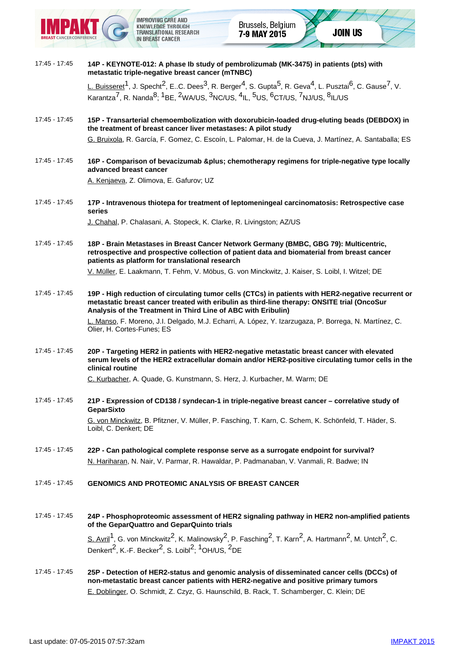

## 17:45 - 17:45 **14P - KEYNOTE-012: A phase Ib study of pembrolizumab (MK-3475) in patients (pts) with metastatic triple-negative breast cancer (mTNBC)**

L. Buisseret<sup>1</sup>, J. Specht<sup>2</sup>, E..C. Dees<sup>3</sup>, R. Berger<sup>4</sup>, S. Gupta<sup>5</sup>, R. Geva<sup>4</sup>, L. Pusztai<sup>6</sup>, C. Gause<sup>7</sup>, V.  $\overline{Karantza}^7$ , R. Nanda $\overline{8}$ ,  $\overline{1}$ BE,  $\overline{2}$ WA/US,  $\overline{3}$ NC/US,  $\overline{4}$ IL,  $\overline{5}$ US,  $\overline{6}$ CT/US,  $\overline{7}$ NJ/US,  $\overline{8}$ IL/US

17:45 - 17:45 **15P - Transarterial chemoembolization with doxorubicin-loaded drug-eluting beads (DEBDOX) in the treatment of breast cancer liver metastases: A pilot study**

G. Bruixola, R. García, F. Gomez, C. Escoín, L. Palomar, H. de la Cueva, J. Martínez, A. Santaballa; ES

17:45 - 17:45 **16P - Comparison of bevacizumab & plus; chemotherapy regimens for triple-negative type locally advanced breast cancer**

A. Kenjaeva, Z. Olimova, E. Gafurov; UZ

17:45 - 17:45 **17P - Intravenous thiotepa for treatment of leptomeningeal carcinomatosis: Retrospective case series**

J. Chahal, P. Chalasani, A. Stopeck, K. Clarke, R. Livingston; AZ/US

17:45 - 17:45 **18P - Brain Metastases in Breast Cancer Network Germany (BMBC, GBG 79): Multicentric, retrospective and prospective collection of patient data and biomaterial from breast cancer patients as platform for translational research**

V. Müller, E. Laakmann, T. Fehm, V. Möbus, G. von Minckwitz, J. Kaiser, S. Loibl, I. Witzel; DE

- 17:45 17:45 **19P High reduction of circulating tumor cells (CTCs) in patients with HER2-negative recurrent or metastatic breast cancer treated with eribulin as third-line therapy: ONSITE trial (OncoSur Analysis of the Treatment in Third Line of ABC with Eribulin)** L. Manso, F. Moreno, J.I. Delgado, M.J. Echarri, A. López, Y. Izarzugaza, P. Borrega, N. Martínez, C. Olier, H. Cortes-Funes; ES
- 17:45 17:45 **20P Targeting HER2 in patients with HER2-negative metastatic breast cancer with elevated serum levels of the HER2 extracellular domain and/or HER2-positive circulating tumor cells in the clinical routine**

C. Kurbacher, A. Quade, G. Kunstmann, S. Herz, J. Kurbacher, M. Warm; DE

17:45 - 17:45 **21P - Expression of CD138 / syndecan-1 in triple-negative breast cancer – correlative study of GeparSixto** G. von Minckwitz, B. Pfitzner, V. Müller, P. Fasching, T. Karn, C. Schem, K. Schönfeld, T. Häder, S.

Loibl, C. Denkert; DE

- 17:45 17:45 **22P Can pathological complete response serve as a surrogate endpoint for survival?** N. Hariharan, N. Nair, V. Parmar, R. Hawaldar, P. Padmanaban, V. Vanmali, R. Badwe; IN
- 17:45 17:45 **GENOMICS AND PROTEOMIC ANALYSIS OF BREAST CANCER**

17:45 - 17:45 **24P - Phosphoproteomic assessment of HER2 signaling pathway in HER2 non-amplified patients of the GeparQuattro and GeparQuinto trials**  $S.$  Avril<sup>1</sup>, G. von Minckwitz<sup>2</sup>, K. Malinowsky<sup>2</sup>, P. Fasching<sup>2</sup>, T. Karn<sup>2</sup>, A. Hartmann<sup>2</sup>, M. Untch<sup>2</sup>, C. Denkert<sup>2</sup>, K.-F. Becker<sup>2</sup>, S. Loibl<sup>2, 1</sup>OH/US. <sup>2</sup>DE

17:45 - 17:45 **25P - Detection of HER2-status and genomic analysis of disseminated cancer cells (DCCs) of non-metastatic breast cancer patients with HER2-negative and positive primary tumors** E. Doblinger, O. Schmidt, Z. Czyz, G. Haunschild, B. Rack, T. Schamberger, C. Klein; DE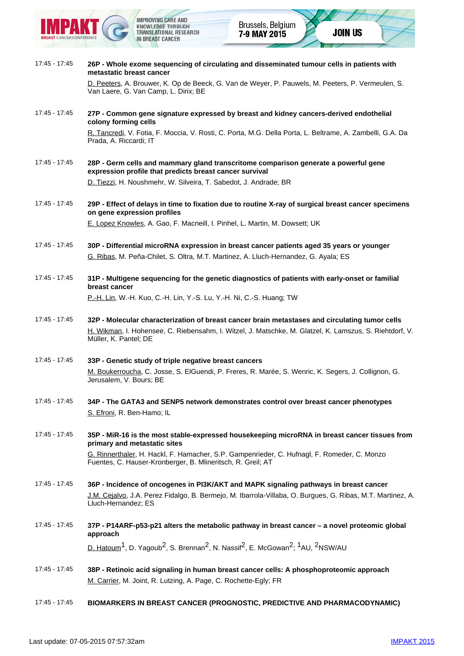

| 17:45 - 17:45 | 26P - Whole exome sequencing of circulating and disseminated tumour cells in patients with<br>metastatic breast cancer                                              |
|---------------|---------------------------------------------------------------------------------------------------------------------------------------------------------------------|
|               | D. Peeters, A. Brouwer, K. Op de Beeck, G. Van de Weyer, P. Pauwels, M. Peeters, P. Vermeulen, S.<br>Van Laere, G. Van Camp, L. Dirix; BE                           |
| 17:45 - 17:45 | 27P - Common gene signature expressed by breast and kidney cancers-derived endothelial<br>colony forming cells                                                      |
|               | R. Tancredi, V. Fotia, F. Moccia, V. Rosti, C. Porta, M.G. Della Porta, L. Beltrame, A. Zambelli, G.A. Da<br>Prada, A. Riccardi; IT                                 |
| 17:45 - 17:45 | 28P - Germ cells and mammary gland transcritome comparison generate a powerful gene<br>expression profile that predicts breast cancer survival                      |
|               | D. Tiezzi, H. Noushmehr, W. Silveira, T. Sabedot, J. Andrade; BR                                                                                                    |
| 17:45 - 17:45 | 29P - Effect of delays in time to fixation due to routine X-ray of surgical breast cancer specimens<br>on gene expression profiles                                  |
|               | E. Lopez Knowles, A. Gao, F. Macneill, I. Pinhel, L. Martin, M. Dowsett; UK                                                                                         |
| 17:45 - 17:45 | 30P - Differential microRNA expression in breast cancer patients aged 35 years or younger                                                                           |
|               | G. Ribas, M. Peña-Chilet, S. Oltra, M.T. Martinez, A. Lluch-Hernandez, G. Ayala; ES                                                                                 |
| 17:45 - 17:45 | 31P - Multigene sequencing for the genetic diagnostics of patients with early-onset or familial<br>breast cancer                                                    |
|               | P.-H. Lin, W.-H. Kuo, C.-H. Lin, Y.-S. Lu, Y.-H. Ni, C.-S. Huang; TW                                                                                                |
| 17:45 - 17:45 | 32P - Molecular characterization of breast cancer brain metastases and circulating tumor cells                                                                      |
|               | H. Wikman, I. Hohensee, C. Riebensahm, I. Witzel, J. Matschke, M. Glatzel, K. Lamszus, S. Riehtdorf, V.<br>Müller, K. Pantel; DE                                    |
| 17:45 - 17:45 | 33P - Genetic study of triple negative breast cancers                                                                                                               |
|               | M. Boukerroucha, C. Josse, S. ElGuendi, P. Freres, R. Marée, S. Wenric, K. Segers, J. Collignon, G.<br>Jerusalem, V. Bours; BE                                      |
| 17:45 - 17:45 | 34P - The GATA3 and SENP5 network demonstrates control over breast cancer phenotypes                                                                                |
|               | S. Efroni, R. Ben-Hamo; IL                                                                                                                                          |
| 17:45 - 17:45 | 35P - MiR-16 is the most stable-expressed housekeeping microRNA in breast cancer tissues from<br>primary and metastatic sites                                       |
|               | G. Rinnerthaler, H. Hackl, F. Hamacher, S.P. Gampenrieder, C. Hufnagl, F. Romeder, C. Monzo<br>Fuentes, C. Hauser-Kronberger, B. Mlineritsch, R. Greil; AT          |
| 17:45 - 17:45 | 36P - Incidence of oncogenes in PI3K/AKT and MAPK signaling pathways in breast cancer                                                                               |
|               | J.M. Cejalvo, J.A. Perez Fidalgo, B. Bermejo, M. Ibarrola-Villaba, O. Burgues, G. Ribas, M.T. Martinez, A.<br>Lluch-Hernandez; ES                                   |
| 17:45 - 17:45 | 37P - P14ARF-p53-p21 alters the metabolic pathway in breast cancer - a novel proteomic global<br>approach                                                           |
|               | D. Hatoum <sup>1</sup> , D. Yagoub <sup>2</sup> , S. Brennan <sup>2</sup> , N. Nassif <sup>2</sup> , E. McGowan <sup>2</sup> ; <sup>1</sup> AU, <sup>2</sup> NSW/AU |
| 17:45 - 17:45 | 38P - Retinoic acid signaling in human breast cancer cells: A phosphoproteomic approach                                                                             |
|               | M. Carrier, M. Joint, R. Lutzing, A. Page, C. Rochette-Egly; FR                                                                                                     |

17:45 - 17:45 **BIOMARKERS IN BREAST CANCER (PROGNOSTIC, PREDICTIVE AND PHARMACODYNAMIC)**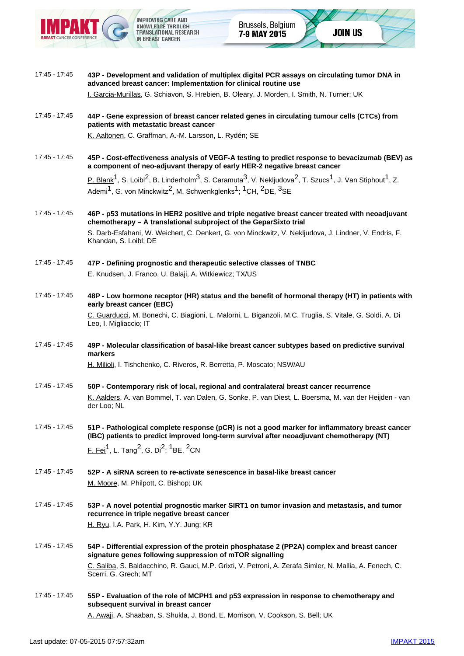

17:45 - 17:45 **43P - Development and validation of multiplex digital PCR assays on circulating tumor DNA in advanced breast cancer: Implementation for clinical routine use** I. Garcia-Murillas, G. Schiavon, S. Hrebien, B. Oleary, J. Morden, I. Smith, N. Turner; UK 17:45 - 17:45 **44P - Gene expression of breast cancer related genes in circulating tumour cells (CTCs) from patients with metastatic breast cancer** K. Aaltonen, C. Graffman, A.-M. Larsson, L. Rydén; SE 17:45 - 17:45 **45P - Cost-effectiveness analysis of VEGF-A testing to predict response to bevacizumab (BEV) as a component of neo-adjuvant therapy of early HER-2 negative breast cancer** P. Blank<sup>1</sup>, S. Loibl<sup>2</sup>, B. Linderholm<sup>3</sup>, S. Caramuta<sup>3</sup>, V. Nekljudova<sup>2</sup>, T. Szucs<sup>1</sup>, J. Van Stiphout<sup>1</sup>, Z. Ademi<sup>1</sup>, G. von Minckwitz<sup>2</sup>, M. Schwenkglenks<sup>1</sup>; <sup>1</sup>CH, <sup>2</sup>DE, <sup>3</sup>SE 17:45 - 17:45 **46P - p53 mutations in HER2 positive and triple negative breast cancer treated with neoadjuvant chemotherapy – A translational subproject of the GeparSixto trial** S. Darb-Esfahani, W. Weichert, C. Denkert, G. von Minckwitz, V. Nekljudova, J. Lindner, V. Endris, F. Khandan, S. Loibl; DE 17:45 - 17:45 **47P - Defining prognostic and therapeutic selective classes of TNBC** E. Knudsen, J. Franco, U. Balaji, A. Witkiewicz; TX/US 17:45 - 17:45 **48P - Low hormone receptor (HR) status and the benefit of hormonal therapy (HT) in patients with early breast cancer (EBC)** C. Guarducci, M. Bonechi, C. Biagioni, L. Malorni, L. Biganzoli, M.C. Truglia, S. Vitale, G. Soldi, A. Di Leo, I. Migliaccio; IT 17:45 - 17:45 **49P - Molecular classification of basal-like breast cancer subtypes based on predictive survival markers** H. Milioli, I. Tishchenko, C. Riveros, R. Berretta, P. Moscato; NSW/AU 17:45 - 17:45 **50P - Contemporary risk of local, regional and contralateral breast cancer recurrence** K. Aalders, A. van Bommel, T. van Dalen, G. Sonke, P. van Diest, L. Boersma, M. van der Heijden - van der Loo; NL 17:45 - 17:45 **51P - Pathological complete response (pCR) is not a good marker for inflammatory breast cancer (IBC) patients to predict improved long-term survival after neoadjuvant chemotherapy (NT)** F. Fei<sup>1</sup>, L. Tang<sup>2</sup>, G. Di<sup>2</sup>; <sup>1</sup>BE, <sup>2</sup>CN 17:45 - 17:45 **52P - A siRNA screen to re-activate senescence in basal-like breast cancer** M. Moore, M. Philpott, C. Bishop; UK 17:45 - 17:45 **53P - A novel potential prognostic marker SIRT1 on tumor invasion and metastasis, and tumor recurrence in triple negative breast cancer** H. Ryu, I.A. Park, H. Kim, Y.Y. Jung; KR 17:45 - 17:45 **54P - Differential expression of the protein phosphatase 2 (PP2A) complex and breast cancer signature genes following suppression of mTOR signalling** C. Saliba, S. Baldacchino, R. Gauci, M.P. Grixti, V. Petroni, A. Zerafa Simler, N. Mallia, A. Fenech, C. Scerri, G. Grech; MT 17:45 - 17:45 **55P - Evaluation of the role of MCPH1 and p53 expression in response to chemotherapy and subsequent survival in breast cancer**

A. Awaji, A. Shaaban, S. Shukla, J. Bond, E. Morrison, V. Cookson, S. Bell; UK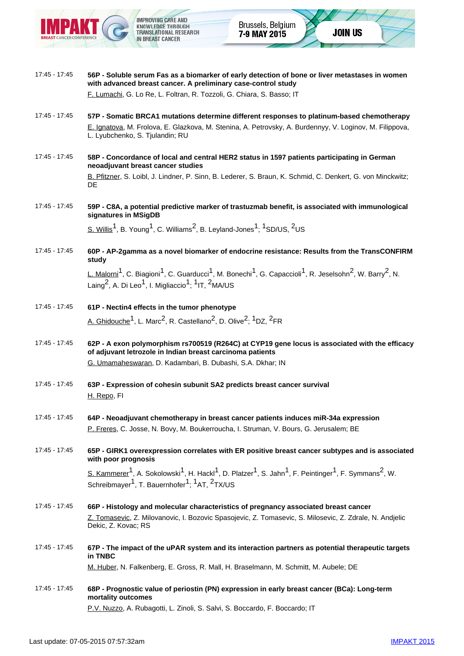

17:45 - 17:45 **56P - Soluble serum Fas as a biomarker of early detection of bone or liver metastases in women with advanced breast cancer. A preliminary case-control study** F. Lumachi, G. Lo Re, L. Foltran, R. Tozzoli, G. Chiara, S. Basso; IT 17:45 - 17:45 **57P - Somatic BRCA1 mutations determine different responses to platinum-based chemotherapy** E. Ignatova, M. Frolova, E. Glazkova, M. Stenina, A. Petrovsky, A. Burdennyy, V. Loginov, M. Filippova, L. Lyubchenko, S. Tjulandin; RU 17:45 - 17:45 **58P - Concordance of local and central HER2 status in 1597 patients participating in German neoadjuvant breast cancer studies** B. Pfitzner, S. Loibl, J. Lindner, P. Sinn, B. Lederer, S. Braun, K. Schmid, C. Denkert, G. von Minckwitz; DE 17:45 - 17:45 **59P - C8A, a potential predictive marker of trastuzmab benefit, is associated with immunological signatures in MSigDB** S. Willis<sup>1</sup>, B. Young<sup>1</sup>, C. Williams<sup>2</sup>, B. Leyland-Jones<sup>1</sup>; <sup>1</sup>SD/US, <sup>2</sup>US 17:45 - 17:45 **60P - AP-2gamma as a novel biomarker of endocrine resistance: Results from the TransCONFIRM study** L. Malorni<sup>1</sup>, C. Biagioni<sup>1</sup>, C. Guarducci<sup>1</sup>, M. Bonechi<sup>1</sup>, G. Capaccioli<sup>1</sup>, R. Jeselsohn<sup>2</sup>, W. Barry<sup>2</sup>, N. Laing<sup>2</sup>, A. Di Leo<sup>1</sup>, I. Migliaccio<sup>1</sup>; <sup>1</sup>IT, <sup>2</sup>MA/US 17:45 - 17:45 **61P - Nectin4 effects in the tumor phenotype** A. Ghidouche<sup>1</sup>, L. Marc<sup>2</sup>, R. Castellano<sup>2</sup>, D. Olive<sup>2</sup>; <sup>1</sup>DZ, <sup>2</sup>FR 17:45 - 17:45 **62P - A exon polymorphism rs700519 (R264C) at CYP19 gene locus is associated with the efficacy of adjuvant letrozole in Indian breast carcinoma patients** G. Umamaheswaran, D. Kadambari, B. Dubashi, S.A. Dkhar; IN 17:45 - 17:45 **63P - Expression of cohesin subunit SA2 predicts breast cancer survival** H. Repo, FI 17:45 - 17:45 **64P - Neoadjuvant chemotherapy in breast cancer patients induces miR-34a expression** P. Freres, C. Josse, N. Bovy, M. Boukerroucha, I. Struman, V. Bours, G. Jerusalem; BE 17:45 - 17:45 **65P - GIRK1 overexpression correlates with ER positive breast cancer subtypes and is associated with poor prognosis** S. Kammerer<sup>1</sup>, A. Sokolowski<sup>1</sup>, H. Hackl<sup>1</sup>, D. Platzer<sup>1</sup>, S. Jahn<sup>1</sup>, F. Peintinger<sup>1</sup>, F. Symmans<sup>2</sup>, W. Schreibmayer<sup>1</sup>, T. Bauernhofer<sup>1</sup>;  $1/4$ T,  $2$ TX/US 17:45 - 17:45 **66P - Histology and molecular characteristics of pregnancy associated breast cancer** Z. Tomasevic, Z. Milovanovic, I. Bozovic Spasojevic, Z. Tomasevic, S. Milosevic, Z. Zdrale, N. Andjelic Dekic, Z. Kovac; RS 17:45 - 17:45 **67P - The impact of the uPAR system and its interaction partners as potential therapeutic targets in TNBC** M. Huber, N. Falkenberg, E. Gross, R. Mall, H. Braselmann, M. Schmitt, M. Aubele; DE 17:45 - 17:45 **68P - Prognostic value of periostin (PN) expression in early breast cancer (BCa): Long-term mortality outcomes** P.V. Nuzzo, A. Rubagotti, L. Zinoli, S. Salvi, S. Boccardo, F. Boccardo; IT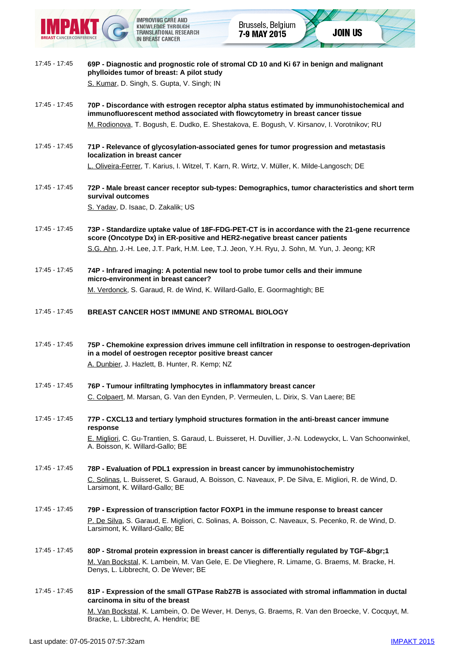

- 17:45 17:45 **69P Diagnostic and prognostic role of stromal CD 10 and Ki 67 in benign and malignant phylloides tumor of breast: A pilot study** S. Kumar, D. Singh, S. Gupta, V. Singh; IN
- 17:45 17:45 **70P Discordance with estrogen receptor alpha status estimated by immunohistochemical and immunofluorescent method associated with flowcytometry in breast cancer tissue** M. Rodionova, T. Bogush, E. Dudko, E. Shestakova, E. Bogush, V. Kirsanov, I. Vorotnikov; RU
- 17:45 17:45 **71P Relevance of glycosylation-associated genes for tumor progression and metastasis localization in breast cancer** L. Oliveira-Ferrer, T. Karius, I. Witzel, T. Karn, R. Wirtz, V. Müller, K. Milde-Langosch; DE
- 17:45 17:45 **72P Male breast cancer receptor sub-types: Demographics, tumor characteristics and short term survival outcomes** S. Yadav, D. Isaac, D. Zakalik; US
- 17:45 17:45 **73P Standardize uptake value of 18F-FDG-PET-CT is in accordance with the 21-gene recurrence score (Oncotype Dx) in ER-positive and HER2-negative breast cancer patients** S.G. Ahn, J.-H. Lee, J.T. Park, H.M. Lee, T.J. Jeon, Y.H. Ryu, J. Sohn, M. Yun, J. Jeong; KR
- 17:45 17:45 **74P Infrared imaging: A potential new tool to probe tumor cells and their immune micro-environment in breast cancer?** M. Verdonck, S. Garaud, R. de Wind, K. Willard-Gallo, E. Goormaghtigh; BE
- 17:45 17:45 **BREAST CANCER HOST IMMUNE AND STROMAL BIOLOGY**
- 17:45 17:45 **75P Chemokine expression drives immune cell infiltration in response to oestrogen-deprivation in a model of oestrogen receptor positive breast cancer** A. Dunbier, J. Hazlett, B. Hunter, R. Kemp; NZ
- 17:45 17:45 **76P Tumour infiltrating lymphocytes in inflammatory breast cancer** C. Colpaert, M. Marsan, G. Van den Eynden, P. Vermeulen, L. Dirix, S. Van Laere; BE
- 17:45 17:45 **77P CXCL13 and tertiary lymphoid structures formation in the anti-breast cancer immune response** E. Migliori, C. Gu-Trantien, S. Garaud, L. Buisseret, H. Duvillier, J.-N. Lodewyckx, L. Van Schoonwinkel, A. Boisson, K. Willard-Gallo; BE
- 17:45 17:45 **78P Evaluation of PDL1 expression in breast cancer by immunohistochemistry** C. Solinas, L. Buisseret, S. Garaud, A. Boisson, C. Naveaux, P. De Silva, E. Migliori, R. de Wind, D. Larsimont, K. Willard-Gallo; BE
- 17:45 17:45 **79P Expression of transcription factor FOXP1 in the immune response to breast cancer** P. De Silva, S. Garaud, E. Migliori, C. Solinas, A. Boisson, C. Naveaux, S. Pecenko, R. de Wind, D. Larsimont, K. Willard-Gallo; BE
- 17:45 17:45 **80P Stromal protein expression in breast cancer is differentially regulated by TGF-&bgr;1** M. Van Bockstal, K. Lambein, M. Van Gele, E. De Vlieghere, R. Limame, G. Braems, M. Bracke, H. Denys, L. Libbrecht, O. De Wever; BE
- 17:45 17:45 **81P Expression of the small GTPase Rab27B is associated with stromal inflammation in ductal carcinoma in situ of the breast** M. Van Bockstal, K. Lambein, O. De Wever, H. Denys, G. Braems, R. Van den Broecke, V. Cocquyt, M. Bracke, L. Libbrecht, A. Hendrix; BE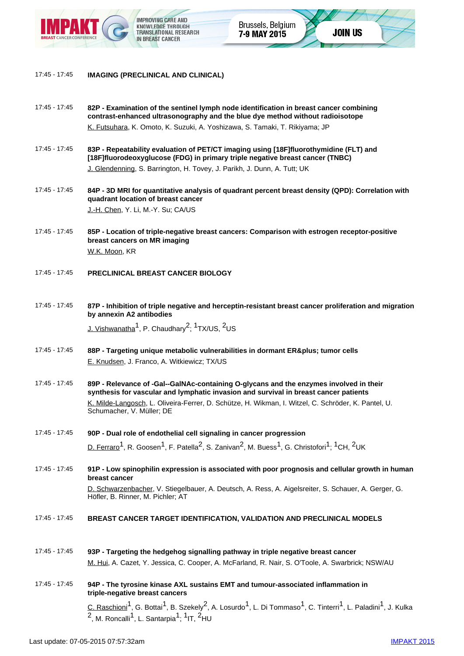

- 17:45 17:45 **82P Examination of the sentinel lymph node identification in breast cancer combining contrast-enhanced ultrasonography and the blue dye method without radioisotope** K. Futsuhara, K. Omoto, K. Suzuki, A. Yoshizawa, S. Tamaki, T. Rikiyama; JP
- 17:45 17:45 **83P Repeatability evaluation of PET/CT imaging using [18F]fluorothymidine (FLT) and [18F]fluorodeoxyglucose (FDG) in primary triple negative breast cancer (TNBC)** J. Glendenning, S. Barrington, H. Tovey, J. Parikh, J. Dunn, A. Tutt; UK
- 17:45 17:45 **84P 3D MRI for quantitative analysis of quadrant percent breast density (QPD): Correlation with quadrant location of breast cancer** J.-H. Chen, Y. Li, M.-Y. Su; CA/US
- 17:45 17:45 **85P Location of triple-negative breast cancers: Comparison with estrogen receptor-positive breast cancers on MR imaging** W.K. Moon, KR
- 17:45 17:45 **PRECLINICAL BREAST CANCER BIOLOGY**
- 17:45 17:45 **87P Inhibition of triple negative and herceptin-resistant breast cancer proliferation and migration by annexin A2 antibodies** J. Vishwanatha<sup>1</sup>, P. Chaudhary<sup>2</sup>;  $1$ TX/US,  $2$ US
- 17:45 17:45 88P Targeting unique metabolic vulnerabilities in dormant ER& plus; tumor cells E. Knudsen, J. Franco, A. Witkiewicz; TX/US
- 17:45 17:45 **89P Relevance of -Gal--GalNAc-containing O-glycans and the enzymes involved in their synthesis for vascular and lymphatic invasion and survival in breast cancer patients** K. Milde-Langosch, L. Oliveira-Ferrer, D. Schütze, H. Wikman, I. Witzel, C. Schröder, K. Pantel, U. Schumacher, V. Müller; DE
- 17:45 17:45 **90P Dual role of endothelial cell signaling in cancer progression** D. Ferraro<sup>1</sup>, R. Goosen<sup>1</sup>, F. Patella<sup>2</sup>, S. Zanivan<sup>2</sup>, M. Buess<sup>1</sup>, G. Christofori<sup>1</sup>; <sup>1</sup>CH, <sup>2</sup>UK
- 17:45 17:45 **91P Low spinophilin expression is associated with poor prognosis and cellular growth in human breast cancer** D. Schwarzenbacher, V. Stiegelbauer, A. Deutsch, A. Ress, A. Aigelsreiter, S. Schauer, A. Gerger, G. Höfler, B. Rinner, M. Pichler; AT
- 17:45 17:45 **BREAST CANCER TARGET IDENTIFICATION, VALIDATION AND PRECLINICAL MODELS**
- 17:45 17:45 **93P Targeting the hedgehog signalling pathway in triple negative breast cancer** M. Hui, A. Cazet, Y. Jessica, C. Cooper, A. McFarland, R. Nair, S. O'Toole, A. Swarbrick; NSW/AU
- 17:45 17:45 **94P The tyrosine kinase AXL sustains EMT and tumour-associated inflammation in triple-negative breast cancers**  $C.$  Raschioni<sup>1</sup>, G. Bottai<sup>1</sup>, B. Szekely<sup>2</sup>, A. Losurdo<sup>1</sup>, L. Di Tommaso<sup>1</sup>, C. Tinterri<sup>1</sup>, L. Paladini<sup>1</sup>, J. Kulka  $2$ , M. Roncalli<sup>1</sup>, L. Santarpia<sup>1</sup>: <sup>1</sup>IT. <sup>2</sup>HU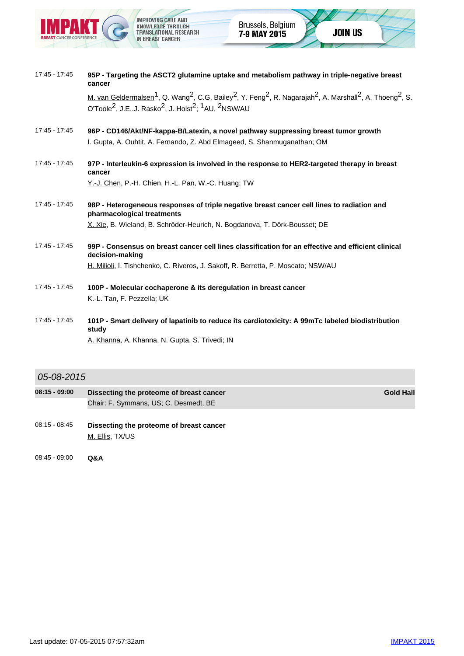

| 17:45 - 17:45 | 95P - Targeting the ASCT2 glutamine uptake and metabolism pathway in triple-negative breast<br>cancer                                                                                                                                                                                                            |
|---------------|------------------------------------------------------------------------------------------------------------------------------------------------------------------------------------------------------------------------------------------------------------------------------------------------------------------|
|               | M. van Geldermalsen <sup>1</sup> , Q. Wang <sup>2</sup> , C.G. Bailey <sup>2</sup> , Y. Feng <sup>2</sup> , R. Nagarajah <sup>2</sup> , A. Marshall <sup>2</sup> , A. Thoeng <sup>2</sup> , S.<br>O'Toole <sup>2</sup> , J.EJ. Rasko <sup>2</sup> , J. Holst <sup>2</sup> ; <sup>1</sup> AU, <sup>2</sup> NSW/AU |
| 17:45 - 17:45 | 96P - CD146/Akt/NF-kappa-B/Latexin, a novel pathway suppressing breast tumor growth<br>I. Gupta, A. Ouhtit, A. Fernando, Z. Abd Elmageed, S. Shanmuganathan; OM                                                                                                                                                  |
| 17:45 - 17:45 | 97P - Interleukin-6 expression is involved in the response to HER2-targeted therapy in breast<br>cancer                                                                                                                                                                                                          |
|               | Y.-J. Chen, P.-H. Chien, H.-L. Pan, W.-C. Huang; TW                                                                                                                                                                                                                                                              |
| 17:45 - 17:45 | 98P - Heterogeneous responses of triple negative breast cancer cell lines to radiation and<br>pharmacological treatments                                                                                                                                                                                         |
|               | X. Xie, B. Wieland, B. Schröder-Heurich, N. Bogdanova, T. Dörk-Bousset; DE                                                                                                                                                                                                                                       |
| 17:45 - 17:45 | 99P - Consensus on breast cancer cell lines classification for an effective and efficient clinical<br>decision-making                                                                                                                                                                                            |
|               | H. Milioli, I. Tishchenko, C. Riveros, J. Sakoff, R. Berretta, P. Moscato; NSW/AU                                                                                                                                                                                                                                |
| 17:45 - 17:45 | 100P - Molecular cochaperone & its deregulation in breast cancer<br>K.-L. Tan, F. Pezzella; UK                                                                                                                                                                                                                   |
| 17:45 - 17:45 | 101P - Smart delivery of lapatinib to reduce its cardiotoxicity: A 99mTc labeled biodistribution<br>study                                                                                                                                                                                                        |

A. Khanna, A. Khanna, N. Gupta, S. Trivedi; IN

## 05-08-2015

- **08:15 09:00 Dissecting the proteome of breast cancer Gold Hall Gold Hall** Chair: F. Symmans, US; C. Desmedt, BE
- 08:15 08:45 **Dissecting the proteome of breast cancer** M. Ellis, TX/US
- 08:45 09:00 **Q&A**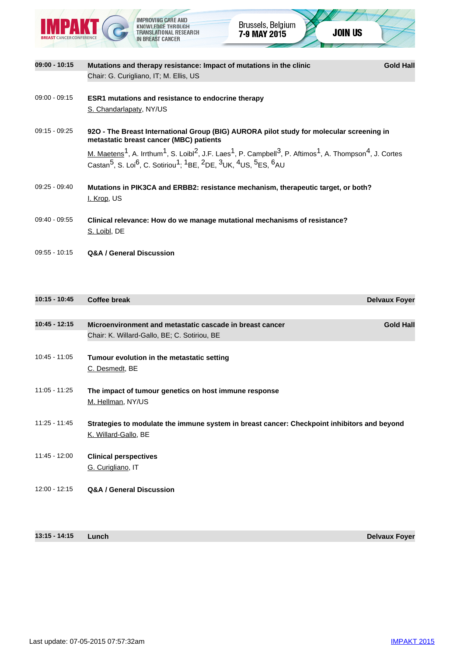

**09:00 - 10:15** Mutations and therapy resistance: Impact of mutations in the clinic **COLO GOLO Hall** Chair: G. Curigliano, IT; M. Ellis, US 09:00 - 09:15 **ESR1 mutations and resistance to endocrine therapy** S. Chandarlapaty, NY/US 09:15 - 09:25 **92O - The Breast International Group (BIG) AURORA pilot study for molecular screening in metastatic breast cancer (MBC) patients**  $M.$  Maetens<sup>1</sup>, A. Irrthum<sup>1</sup>, S. Loibl<sup>2</sup>, J.F. Laes<sup>1</sup>, P. Campbell<sup>3</sup>, P. Aftimos<sup>1</sup>, A. Thompson<sup>4</sup>, J. Cortes  $\overline{\text{Castan}^5, \text{S. Loi}^6, \text{C. Sotiriou}^1, {^1\text{BE, }^2\text{DE, }^3\text{UK, }^4\text{US, }^5\text{ES, }^6\text{AU}}$ 09:25 - 09:40 **Mutations in PIK3CA and ERBB2: resistance mechanism, therapeutic target, or both?** I. Krop, US 09:40 - 09:55 **Clinical relevance: How do we manage mutational mechanisms of resistance?** S. Loibl, DE 09:55 - 10:15 **Q&A / General Discussion**

| 10:15 - 10:45   | <b>Coffee break</b>                                                                                                 | <b>Delvaux Foyer</b> |
|-----------------|---------------------------------------------------------------------------------------------------------------------|----------------------|
|                 |                                                                                                                     |                      |
| $10:45 - 12:15$ | Microenvironment and metastatic cascade in breast cancer<br>Chair: K. Willard-Gallo, BE; C. Sotiriou, BE            | <b>Gold Hall</b>     |
| $10:45 - 11:05$ | Tumour evolution in the metastatic setting<br>C. Desmedt, BE                                                        |                      |
| $11:05 - 11:25$ | The impact of tumour genetics on host immune response<br>M. Hellman, NY/US                                          |                      |
| $11:25 - 11:45$ | Strategies to modulate the immune system in breast cancer: Checkpoint inhibitors and beyond<br>K. Willard-Gallo, BE |                      |
| $11:45 - 12:00$ | <b>Clinical perspectives</b><br>G. Curigliano, IT                                                                   |                      |
| $12:00 - 12:15$ | <b>Q&amp;A / General Discussion</b>                                                                                 |                      |

**13:15 - 14:15 Lunch Delvaux Foyer**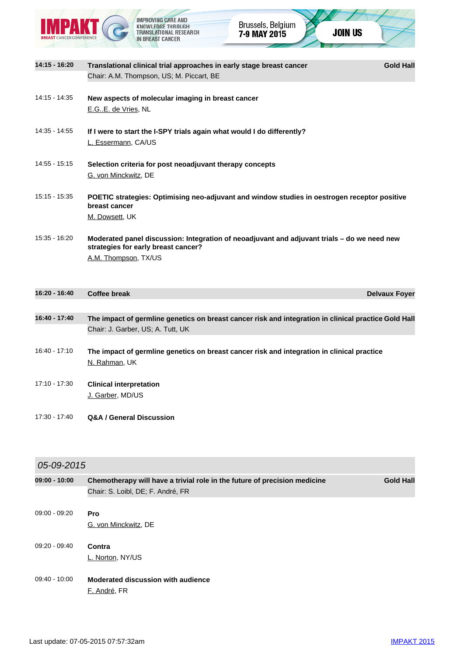

| 14:15 - 16:20   | Translational clinical trial approaches in early stage breast cancer<br><b>Gold Hall</b><br>Chair: A.M. Thompson, US; M. Piccart, BE                       |
|-----------------|------------------------------------------------------------------------------------------------------------------------------------------------------------|
| 14:15 - 14:35   | New aspects of molecular imaging in breast cancer<br>E.GE. de Vries, NL                                                                                    |
| 14:35 - 14:55   | If I were to start the I-SPY trials again what would I do differently?<br>L. Essermann, CA/US                                                              |
| 14:55 - 15:15   | Selection criteria for post neoadjuvant therapy concepts<br>G. von Minckwitz, DE                                                                           |
| $15:15 - 15:35$ | POETIC strategies: Optimising neo-adjuvant and window studies in oestrogen receptor positive<br>breast cancer<br>M. Dowsett, UK                            |
| $15:35 - 16:20$ | Moderated panel discussion: Integration of neoadjuvant and adjuvant trials - do we need new<br>strategies for early breast cancer?<br>A.M. Thompson, TX/US |
| 16:20 - 16:40   | Coffee break<br><b>Delvaux Foyer</b>                                                                                                                       |
| 16:40 - 17:40   | The impact of germline genetics on breast cancer risk and integration in clinical practice Gold Hall<br>Chair: J. Garber, US; A. Tutt, UK                  |
| 16:40 - 17:10   | The impact of germline genetics on breast cancer risk and integration in clinical practice<br>N. Rahman, UK                                                |
| 17:10 - 17:30   | <b>Clinical interpretation</b><br>J. Garber, MD/US                                                                                                         |
| 17:30 - 17:40   | <b>Q&amp;A / General Discussion</b>                                                                                                                        |

## 05-09-2015

| 09:00 - 10:00   | Chemotherapy will have a trivial role in the future of precision medicine<br>Chair: S. Loibl, DE; F. André, FR | <b>Gold Hall</b> |
|-----------------|----------------------------------------------------------------------------------------------------------------|------------------|
| 09:00 - 09:20   | Pro<br>G. von Minckwitz, DE                                                                                    |                  |
| $09:20 - 09:40$ | Contra<br>L. Norton, NY/US                                                                                     |                  |
| $09:40 - 10:00$ | Moderated discussion with audience                                                                             |                  |

F. André, FR